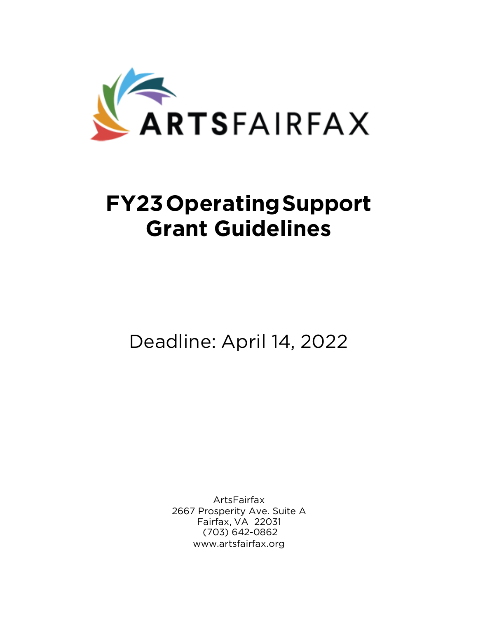

# **FY23OperatingSupport Grant Guidelines**

Deadline: April 14, 2022

ArtsFairfax 2667 Prosperity Ave. Suite A Fairfax, VA 22031 (703) 642-0862 [www.artsfairfax.org](http://www.artsfairfax.org/)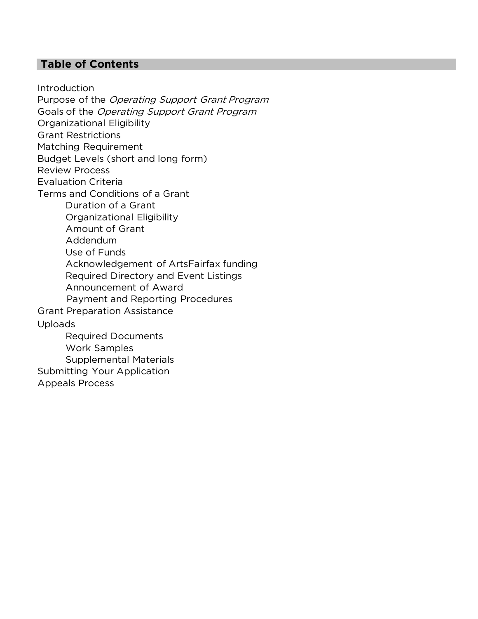# **Table of Contents**

**Introduction** Purpose of the Operating Support Grant Program Goals of the Operating Support Grant Program Organizational Eligibility Grant Restrictions Matching Requirement Budget Levels (short and long form) Review Process Evaluation Criteria Terms and Conditions of a Grant Duration of a Grant Organizational Eligibility Amount of Grant Addendum Use of Funds Acknowledgement of ArtsFairfax funding Required Directory and Event Listings Announcement of Award Payment and Reporting Procedures Grant Preparation Assistance Uploads Required Documents Work Samples Supplemental Materials Submitting Your Application Appeals Process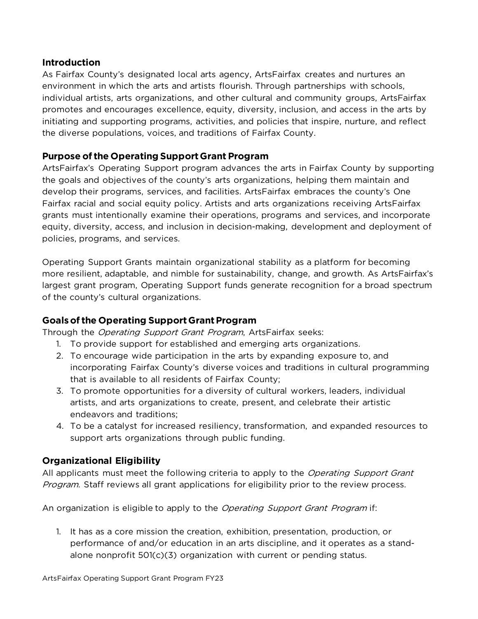## **Introduction**

As Fairfax County's designated local arts agency, ArtsFairfax creates and nurtures an environment in which the arts and artists flourish. Through partnerships with schools, individual artists, arts organizations, and other cultural and community groups, ArtsFairfax promotes and encourages excellence, equity, diversity, inclusion, and access in the arts by initiating and supporting programs, activities, and policies that inspire, nurture, and reflect the diverse populations, voices, and traditions of Fairfax County.

# **Purpose of the Operating SupportGrant Program**

ArtsFairfax's Operating Support program advances the arts in Fairfax County by supporting the goals and objectives of the county's arts organizations, helping them maintain and develop their programs, services, and facilities. ArtsFairfax embraces the county's One Fairfax racial and social equity policy. Artists and arts organizations receiving ArtsFairfax grants must intentionally examine their operations, programs and services, and incorporate equity, diversity, access, and inclusion in decision-making, development and deployment of policies, programs, and services.

Operating Support Grants maintain organizational stability as a platform for becoming more resilient, adaptable, and nimble for sustainability, change, and growth. As ArtsFairfax's largest grant program, Operating Support funds generate recognition for a broad spectrum of the county's cultural organizations.

# **Goalsof the Operating SupportGrantProgram**

Through the *Operating Support Grant Program*, ArtsFairfax seeks:

- 1. To provide support for established and emerging arts organizations.
- 2. To encourage wide participation in the arts by expanding exposure to, and incorporating Fairfax County's diverse voices and traditions in cultural programming that is available to all residents of Fairfax County;
- 3. To promote opportunities for a diversity of cultural workers, leaders, individual artists, and arts organizations to create, present, and celebrate their artistic endeavors and traditions;
- 4. To be a catalyst for increased resiliency, transformation, and expanded resources to support arts organizations through public funding.

# **Organizational Eligibility**

All applicants must meet the following criteria to apply to the Operating Support Grant Program. Staff reviews all grant applications for eligibility prior to the review process.

An organization is eligible to apply to the *Operating Support Grant Program* if:

1. It has as a core mission the creation, exhibition, presentation, production, or performance of and/or education in an arts discipline, and it operates as a standalone nonprofit 501(c)(3) organization with current or pending status.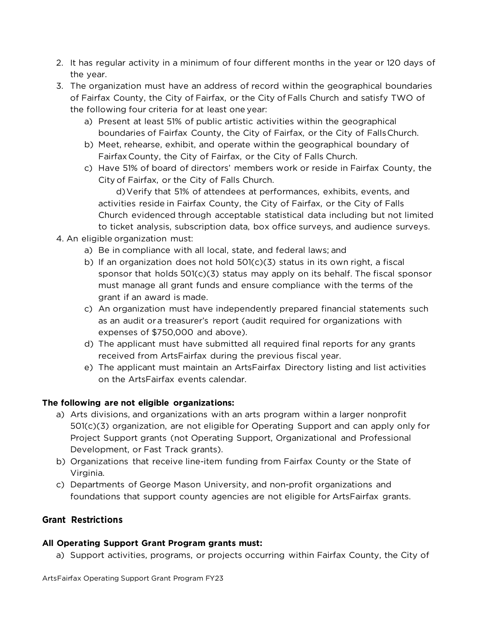- 2. It has regular activity in a minimum of four different months in the year or 120 days of the year.
- 3. The organization must have an address of record within the geographical boundaries of Fairfax County, the City of Fairfax, or the City of Falls Church and satisfy TWO of the following four criteria for at least one year:
	- a) Present at least 51% of public artistic activities within the geographical boundaries of Fairfax County, the City of Fairfax, or the City of FallsChurch.
	- b) Meet, rehearse, exhibit, and operate within the geographical boundary of Fairfax County, the City of Fairfax, or the City of Falls Church.
	- c) Have 51% of board of directors' members work or reside in Fairfax County, the City of Fairfax, or the City of Falls Church.

d)Verify that 51% of attendees at performances, exhibits, events, and activities reside in Fairfax County, the City of Fairfax, or the City of Falls Church evidenced through acceptable statistical data including but not limited to ticket analysis, subscription data, box office surveys, and audience surveys.

- 4. An eligible organization must:
	- a) Be in compliance with all local, state, and federal laws; and
	- b) If an organization does not hold 501(c)(3) status in its own right, a fiscal sponsor that holds 501(c)(3) status may apply on its behalf. The fiscal sponsor must manage all grant funds and ensure compliance with the terms of the grant if an award is made.
	- c) An organization must have independently prepared financial statements such as an audit or a treasurer's report (audit required for organizations with expenses of \$750,000 and above).
	- d) The applicant must have submitted all required final reports for any grants received from ArtsFairfax during the previous fiscal year.
	- e) The applicant must maintain an ArtsFairfax Directory listing and list activities on the ArtsFairfax events calendar.

## **The following are not eligible organizations:**

- a) Arts divisions, and organizations with an arts program within a larger nonprofit 501(c)(3) organization, are not eligible for Operating Support and can apply only for Project Support grants (not Operating Support, Organizational and Professional Development, or Fast Track grants).
- b) Organizations that receive line-item funding from Fairfax County or the State of Virginia.
- c) Departments of George Mason University, and non-profit organizations and foundations that support county agencies are not eligible for ArtsFairfax grants.

## **Grant Restrictions**

## **All Operating Support Grant Program grants must:**

a) Support activities, programs, or projects occurring within Fairfax County, the City of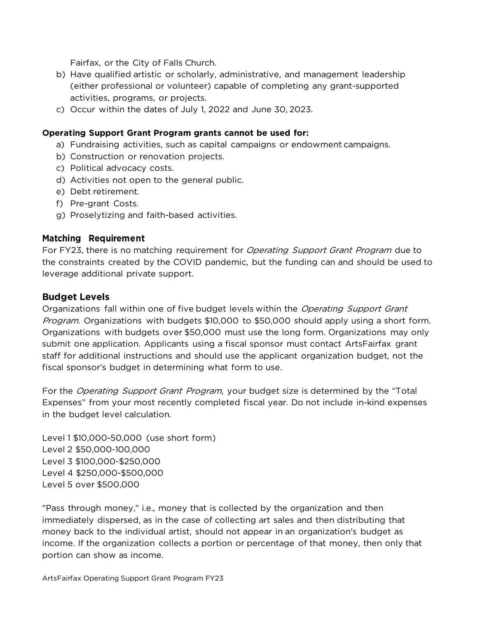Fairfax, or the City of Falls Church.

- b) Have qualified artistic or scholarly, administrative, and management leadership (either professional or volunteer) capable of completing any grant-supported activities, programs, or projects.
- c) Occur within the dates of July 1, 2022 and June 30, 2023.

#### **Operating Support Grant Program grants cannot be used for:**

- a) Fundraising activities, such as capital campaigns or endowment campaigns.
- b) Construction or renovation projects.
- c) Political advocacy costs.
- d) Activities not open to the general public.
- e) Debt retirement.
- f) Pre-grant Costs.
- g) Proselytizing and faith-based activities.

#### **Matching Requirement**

For FY23, there is no matching requirement for *Operating Support Grant Program* due to the constraints created by the COVID pandemic, but the funding can and should be used to leverage additional private support.

#### **Budget Levels**

Organizations fall within one of five budget levels within the *Operating Support Grant* Program. Organizations with budgets \$10,000 to \$50,000 should apply using a short form. Organizations with budgets over \$50,000 must use the long form. Organizations may only submit one application. Applicants using a fiscal sponsor must contact ArtsFairfax grant staff for additional instructions and should use the applicant organization budget, not the fiscal sponsor's budget in determining what form to use.

For the Operating Support Grant Program, your budget size is determined by the "Total Expenses" from your most recently completed fiscal year. Do not include in-kind expenses in the budget level calculation.

Level 1 \$10,000-50,000 (use short form) Level 2 \$50,000-100,000 Level 3 \$100,000-\$250,000 Level 4 \$250,000-\$500,000 Level 5 over \$500,000

"Pass through money," i.e., money that is collected by the organization and then immediately dispersed, as in the case of collecting art sales and then distributing that money back to the individual artist, should not appear in an organization's budget as income. If the organization collects a portion or percentage of that money, then only that portion can show as income.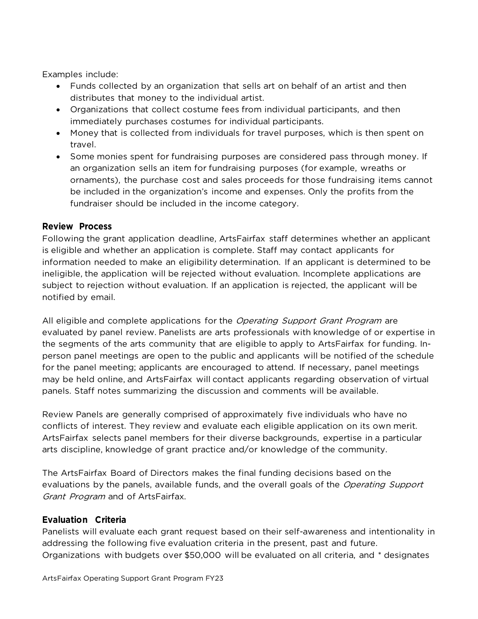Examples include:

- Funds collected by an organization that sells art on behalf of an artist and then distributes that money to the individual artist.
- Organizations that collect costume fees from individual participants, and then immediately purchases costumes for individual participants.
- Money that is collected from individuals for travel purposes, which is then spent on travel.
- Some monies spent for fundraising purposes are considered pass through money. If an organization sells an item for fundraising purposes (for example, wreaths or ornaments), the purchase cost and sales proceeds for those fundraising items cannot be included in the organization's income and expenses. Only the profits from the fundraiser should be included in the income category.

## **Review Process**

Following the grant application deadline, ArtsFairfax staff determines whether an applicant is eligible and whether an application is complete. Staff may contact applicants for information needed to make an eligibility determination. If an applicant is determined to be ineligible, the application will be rejected without evaluation. Incomplete applications are subject to rejection without evaluation. If an application is rejected, the applicant will be notified by email.

All eligible and complete applications for the *Operating Support Grant Program* are evaluated by panel review. Panelists are arts professionals with knowledge of or expertise in the segments of the arts community that are eligible to apply to ArtsFairfax for funding. Inperson panel meetings are open to the public and applicants will be notified of the schedule for the panel meeting; applicants are encouraged to attend. If necessary, panel meetings may be held online, and ArtsFairfax will contact applicants regarding observation of virtual panels. Staff notes summarizing the discussion and comments will be available.

Review Panels are generally comprised of approximately five individuals who have no conflicts of interest. They review and evaluate each eligible application on its own merit. ArtsFairfax selects panel members for their diverse backgrounds, expertise in a particular arts discipline, knowledge of grant practice and/or knowledge of the community.

The ArtsFairfax Board of Directors makes the final funding decisions based on the evaluations by the panels, available funds, and the overall goals of the Operating Support Grant Program and of ArtsFairfax.

## **Evaluation Criteria**

Panelists will evaluate each grant request based on their self-awareness and intentionality in addressing the following five evaluation criteria in the present, past and future. Organizations with budgets over \$50,000 will be evaluated on all criteria, and \* designates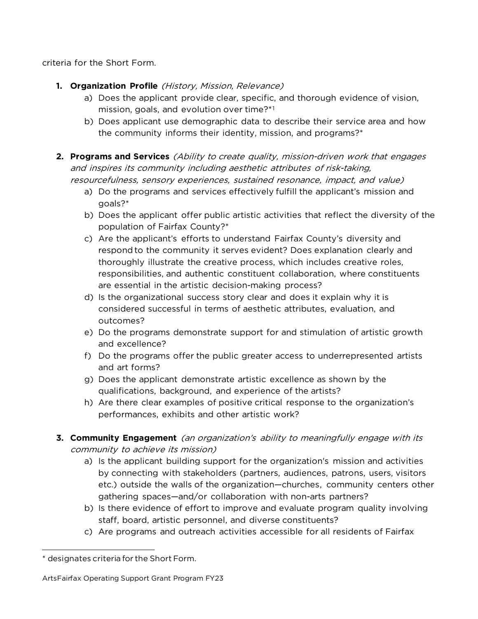criteria for the Short Form.

- **1. Organization Profile** (History, Mission, Relevance)
	- a) Does the applicant provide clear, specific, and thorough evidence of vision, mission, goals, and evolution over time?\*[1](#page-6-0)
	- b) Does applicant use demographic data to describe their service area and how the community informs their identity, mission, and programs?\*
- **2. Programs and Services** (Ability to create quality, mission-driven work that engages and inspires its community including aesthetic attributes of risk-taking, resourcefulness, sensory experiences, sustained resonance, impact, and value)
	- a) Do the programs and services effectively fulfill the applicant's mission and goals?\*
	- b) Does the applicant offer public artistic activities that reflect the diversity of the population of Fairfax County?\*
	- c) Are the applicant's efforts to understand Fairfax County's diversity and respond to the community it serves evident? Does explanation clearly and thoroughly illustrate the creative process, which includes creative roles, responsibilities, and authentic constituent collaboration, where constituents are essential in the artistic decision-making process?
	- d) Is the organizational success story clear and does it explain why it is considered successful in terms of aesthetic attributes, evaluation, and outcomes?
	- e) Do the programs demonstrate support for and stimulation of artistic growth and excellence?
	- f) Do the programs offer the public greater access to underrepresented artists and art forms?
	- g) Does the applicant demonstrate artistic excellence as shown by the qualifications, background, and experience of the artists?
	- h) Are there clear examples of positive critical response to the organization's performances, exhibits and other artistic work?
- **3. Community Engagement** (an organization's ability to meaningfully engage with its community to achieve its mission)
	- a) Is the applicant building support for the organization's mission and activities by connecting with stakeholders (partners, audiences, patrons, users, visitors etc.) outside the walls of the organization—churches, community centers other gathering spaces—and/or collaboration with non-arts partners?
	- b) Is there evidence of effort to improve and evaluate program quality involving staff, board, artistic personnel, and diverse constituents?
	- c) Are programs and outreach activities accessible for all residents of Fairfax

<span id="page-6-0"></span><sup>\*</sup> designates criteria for the Short Form.

ArtsFairfax Operating Support Grant Program FY23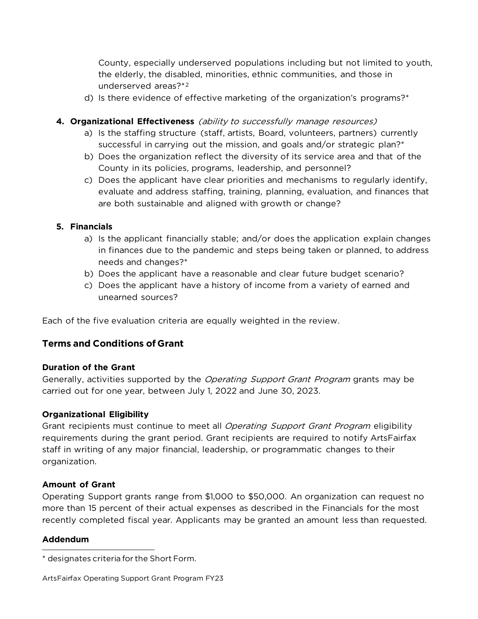County, especially underserved populations including but not limited to youth, the elderly, the disabled, minorities, ethnic communities, and those in underserved areas?\*[2](#page-7-0)

d) Is there evidence of effective marketing of the organization's programs?\*

#### **4. Organizational Effectiveness** (ability to successfully manage resources)

- a) Is the staffing structure (staff, artists, Board, volunteers, partners) currently successful in carrying out the mission, and goals and/or strategic plan?\*
- b) Does the organization reflect the diversity of its service area and that of the County in its policies, programs, leadership, and personnel?
- c) Does the applicant have clear priorities and mechanisms to regularly identify, evaluate and address staffing, training, planning, evaluation, and finances that are both sustainable and aligned with growth or change?

#### **5. Financials**

- a) Is the applicant financially stable; and/or does the application explain changes in finances due to the pandemic and steps being taken or planned, to address needs and changes?\*
- b) Does the applicant have a reasonable and clear future budget scenario?
- c) Does the applicant have a history of income from a variety of earned and unearned sources?

Each of the five evaluation criteria are equally weighted in the review.

## **Terms and Conditions of Grant**

#### **Duration of the Grant**

Generally, activities supported by the *Operating Support Grant Program* grants may be carried out for one year, between July 1, 2022 and June 30, 2023.

#### **Organizational Eligibility**

Grant recipients must continue to meet all *Operating Support Grant Program* eligibility requirements during the grant period. Grant recipients are required to notify ArtsFairfax staff in writing of any major financial, leadership, or programmatic changes to their organization.

#### **Amount of Grant**

Operating Support grants range from \$1,000 to \$50,000. An organization can request no more than 15 percent of their actual expenses as described in the Financials for the most recently completed fiscal year. Applicants may be granted an amount less than requested.

#### **Addendum**

<span id="page-7-0"></span><sup>\*</sup> designates criteria for the Short Form.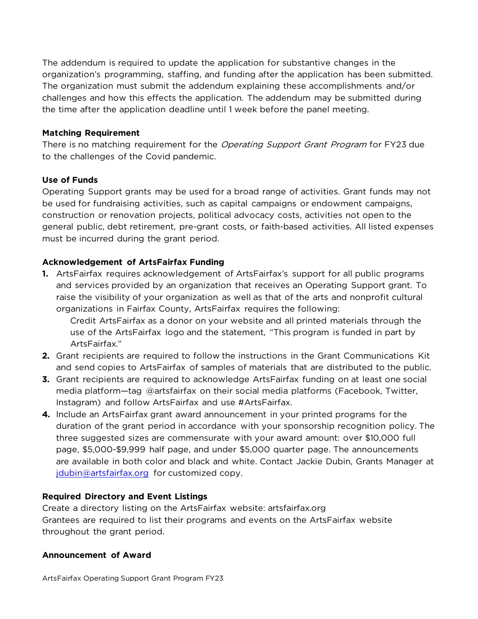The addendum is required to update the application for substantive changes in the organization's programming, staffing, and funding after the application has been submitted. The organization must submit the addendum explaining these accomplishments and/or challenges and how this effects the application. The addendum may be submitted during the time after the application deadline until 1 week before the panel meeting.

#### **Matching Requirement**

There is no matching requirement for the *Operating Support Grant Program* for FY23 due to the challenges of the Covid pandemic.

#### **Use of Funds**

Operating Support grants may be used for a broad range of activities. Grant funds may not be used for fundraising activities, such as capital campaigns or endowment campaigns, construction or renovation projects, political advocacy costs, activities not open to the general public, debt retirement, pre-grant costs, or faith-based activities. All listed expenses must be incurred during the grant period.

#### **Acknowledgement of ArtsFairfax Funding**

**1.** ArtsFairfax requires acknowledgement of ArtsFairfax's support for all public programs and services provided by an organization that receives an Operating Support grant. To raise the visibility of your organization as well as that of the arts and nonprofit cultural organizations in Fairfax County, ArtsFairfax requires the following:

Credit ArtsFairfax as a donor on your website and all printed materials through the use of the ArtsFairfax logo and the statement, "This program is funded in part by ArtsFairfax."

- **2.** Grant recipients are required to follow the instructions in the Grant Communications Kit and send copies to ArtsFairfax of samples of materials that are distributed to the public.
- **3.** Grant recipients are required to acknowledge ArtsFairfax funding on at least one social media platform—tag @artsfairfax on their social media platforms (Facebook, Twitter, Instagram) and follow ArtsFairfax and use #ArtsFairfax.
- **4.** Include an ArtsFairfax grant award announcement in your printed programs for the duration of the grant period in accordance with your sponsorship recognition policy. The three suggested sizes are commensurate with your award amount: over \$10,000 full page, \$5,000-\$9,999 half page, and under \$5,000 quarter page. The announcements are available in both color and black and white. Contact Jackie Dubin, Grants Manager at [jdubin@artsfairfax.org](mailto:jdubin@artsfairfax.org) for customized copy.

#### **Required Directory and Event Listings**

Create a directory listing on the ArtsFairfax website: artsfairfax.org Grantees are required to list their programs and events on the ArtsFairfax website throughout the grant period.

#### **Announcement of Award**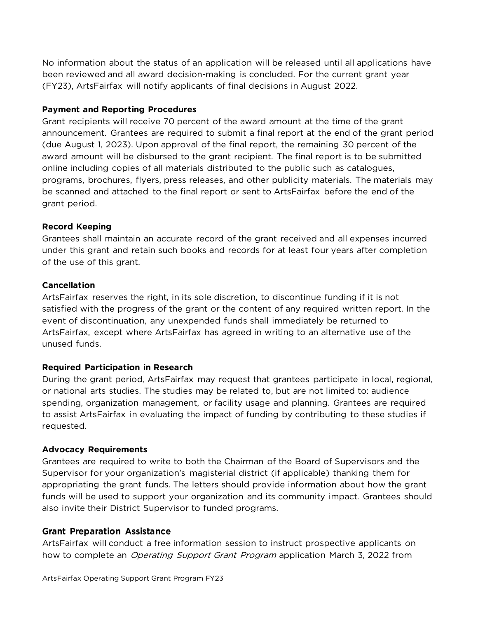No information about the status of an application will be released until all applications have been reviewed and all award decision-making is concluded. For the current grant year (FY23), ArtsFairfax will notify applicants of final decisions in August 2022.

#### **Payment and Reporting Procedures**

Grant recipients will receive 70 percent of the award amount at the time of the grant announcement. Grantees are required to submit a final report at the end of the grant period (due August 1, 2023). Upon approval of the final report, the remaining 30 percent of the award amount will be disbursed to the grant recipient. The final report is to be submitted online including copies of all materials distributed to the public such as catalogues, programs, brochures, flyers, press releases, and other publicity materials. The materials may be scanned and attached to the final report or sent to ArtsFairfax before the end of the grant period.

#### **Record Keeping**

Grantees shall maintain an accurate record of the grant received and all expenses incurred under this grant and retain such books and records for at least four years after completion of the use of this grant.

#### **Cancellation**

ArtsFairfax reserves the right, in its sole discretion, to discontinue funding if it is not satisfied with the progress of the grant or the content of any required written report. In the event of discontinuation, any unexpended funds shall immediately be returned to ArtsFairfax, except where ArtsFairfax has agreed in writing to an alternative use of the unused funds.

#### **Required Participation in Research**

During the grant period, ArtsFairfax may request that grantees participate in local, regional, or national arts studies. The studies may be related to, but are not limited to: audience spending, organization management, or facility usage and planning. Grantees are required to assist ArtsFairfax in evaluating the impact of funding by contributing to these studies if requested.

#### **Advocacy Requirements**

Grantees are required to write to both the Chairman of the Board of Supervisors and the Supervisor for your organization's magisterial district (if applicable) thanking them for appropriating the grant funds. The letters should provide information about how the grant funds will be used to support your organization and its community impact. Grantees should also invite their District Supervisor to funded programs.

#### **Grant Preparation Assistance**

ArtsFairfax will conduct a free information session to instruct prospective applicants on how to complete an *Operating Support Grant Program* application March 3, 2022 from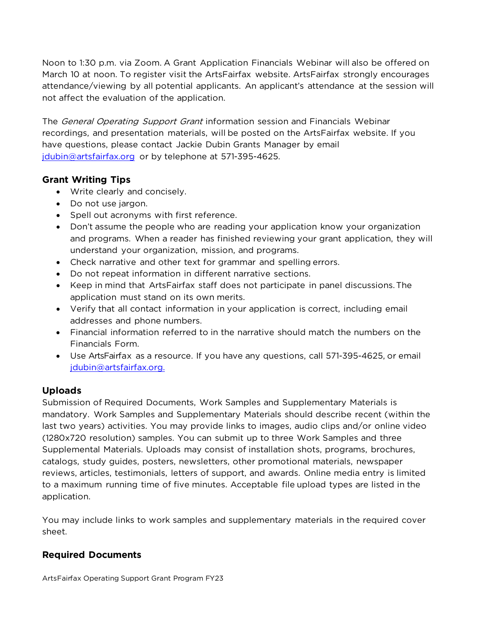Noon to 1:30 p.m. via Zoom. A Grant Application Financials Webinar will also be offered on March 10 at noon. To register visit the ArtsFairfax website. ArtsFairfax strongly encourages attendance/viewing by all potential applicants. An applicant's attendance at the session will not affect the evaluation of the application.

The *General Operating Support Grant* information session and Financials Webinar recordings, and presentation materials, will be posted on the ArtsFairfax website. If you have questions, please contact Jackie Dubin Grants Manager by email [jdubin@artsfairfax.org](mailto:jdubin@artsfairfax.org) or by telephone at 571-395-4625.

## **Grant Writing Tips**

- Write clearly and concisely.
- Do not use jargon.
- Spell out acronyms with first reference.
- Don't assume the people who are reading your application know your organization and programs. When a reader has finished reviewing your grant application, they will understand your organization, mission, and programs.
- Check narrative and other text for grammar and spelling errors.
- Do not repeat information in different narrative sections.
- Keep in mind that ArtsFairfax staff does not participate in panel discussions.The application must stand on its own merits.
- Verify that all contact information in your application is correct, including email addresses and phone numbers.
- Financial information referred to in the narrative should match the numbers on the Financials Form.
- Use ArtsFairfax as a resource. If you have any questions, call 571-395-4625, or email [jdubin@artsfairfax.org.](mailto:jdubin@artsfairfax.org.)

# **Uploads**

Submission of Required Documents, Work Samples and Supplementary Materials is mandatory. Work Samples and Supplementary Materials should describe recent (within the last two years) activities. You may provide links to images, audio clips and/or online video (1280x720 resolution) samples. You can submit up to three Work Samples and three Supplemental Materials. Uploads may consist of installation shots, programs, brochures, catalogs, study guides, posters, newsletters, other promotional materials, newspaper reviews, articles, testimonials, letters of support, and awards. Online media entry is limited to a maximum running time of five minutes. Acceptable file upload types are listed in the application.

You may include links to work samples and supplementary materials in the required cover sheet.

# **Required Documents**

ArtsFairfax Operating Support Grant Program FY23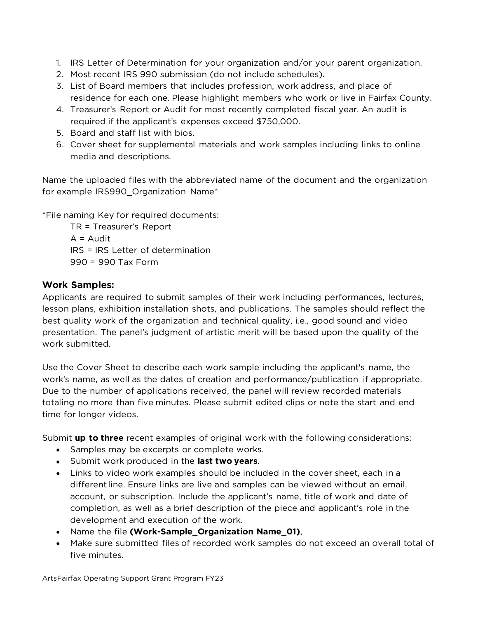- 1. IRS Letter of Determination for your organization and/or your parent organization.
- 2. Most recent IRS 990 submission (do not include schedules).
- 3. List of Board members that includes profession, work address, and place of residence for each one. Please highlight members who work or live in Fairfax County.
- 4. Treasurer's Report or Audit for most recently completed fiscal year. An audit is required if the applicant's expenses exceed \$750,000.
- 5. Board and staff list with bios.
- 6. Cover sheet for supplemental materials and work samples including links to online media and descriptions.

Name the uploaded files with the abbreviated name of the document and the organization for example IRS990\_Organization Name\*

\*File naming Key for required documents:

TR = Treasurer's Report  $A =$  Audit IRS = IRS Letter of determination 990 = 990 Tax Form

# **Work Samples:**

Applicants are required to submit samples of their work including performances, lectures, lesson plans, exhibition installation shots, and publications. The samples should reflect the best quality work of the organization and technical quality, i.e., good sound and video presentation. The panel's judgment of artistic merit will be based upon the quality of the work submitted.

Use the Cover Sheet to describe each work sample including the applicant's name, the work's name, as well as the dates of creation and performance/publication if appropriate. Due to the number of applications received, the panel will review recorded materials totaling no more than five minutes. Please submit edited clips or note the start and end time for longer videos.

Submit **up to three** recent examples of original work with the following considerations:

- Samples may be excerpts or complete works.
- Submit work produced in the **last two years**.
- Links to video work examples should be included in the cover sheet, each in a different line. Ensure links are live and samples can be viewed without an email, account, or subscription. Include the applicant's name, title of work and date of completion, as well as a brief description of the piece and applicant's role in the development and execution of the work.
- Name the file **(Work-Sample\_Organization Name\_01)**.
- Make sure submitted files of recorded work samples do not exceed an overall total of five minutes.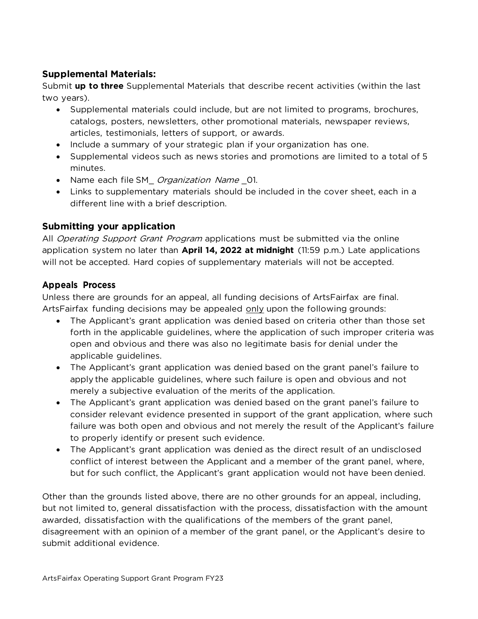# **Supplemental Materials:**

Submit **up to three** Supplemental Materials that describe recent activities (within the last two years).

- Supplemental materials could include, but are not limited to programs, brochures, catalogs, posters, newsletters, other promotional materials, newspaper reviews, articles, testimonials, letters of support, or awards.
- Include a summary of your strategic plan if your organization has one.
- Supplemental videos such as news stories and promotions are limited to a total of 5 minutes.
- Name each file SM\_ Organization Name \_01.
- Links to supplementary materials should be included in the cover sheet, each in a different line with a brief description.

# **Submitting your application**

All *Operating Support Grant Program* applications must be submitted via the online application system no later than **April 14, 2022 at midnight** (11:59 p.m.) Late applications will not be accepted. Hard copies of supplementary materials will not be accepted.

## **Appeals Process**

Unless there are grounds for an appeal, all funding decisions of ArtsFairfax are final. ArtsFairfax funding decisions may be appealed only upon the following grounds:

- The Applicant's grant application was denied based on criteria other than those set forth in the applicable guidelines, where the application of such improper criteria was open and obvious and there was also no legitimate basis for denial under the applicable guidelines.
- The Applicant's grant application was denied based on the grant panel's failure to apply the applicable guidelines, where such failure is open and obvious and not merely a subjective evaluation of the merits of the application.
- The Applicant's grant application was denied based on the grant panel's failure to consider relevant evidence presented in support of the grant application, where such failure was both open and obvious and not merely the result of the Applicant's failure to properly identify or present such evidence.
- The Applicant's grant application was denied as the direct result of an undisclosed conflict of interest between the Applicant and a member of the grant panel, where, but for such conflict, the Applicant's grant application would not have been denied.

Other than the grounds listed above, there are no other grounds for an appeal, including, but not limited to, general dissatisfaction with the process, dissatisfaction with the amount awarded, dissatisfaction with the qualifications of the members of the grant panel, disagreement with an opinion of a member of the grant panel, or the Applicant's desire to submit additional evidence.